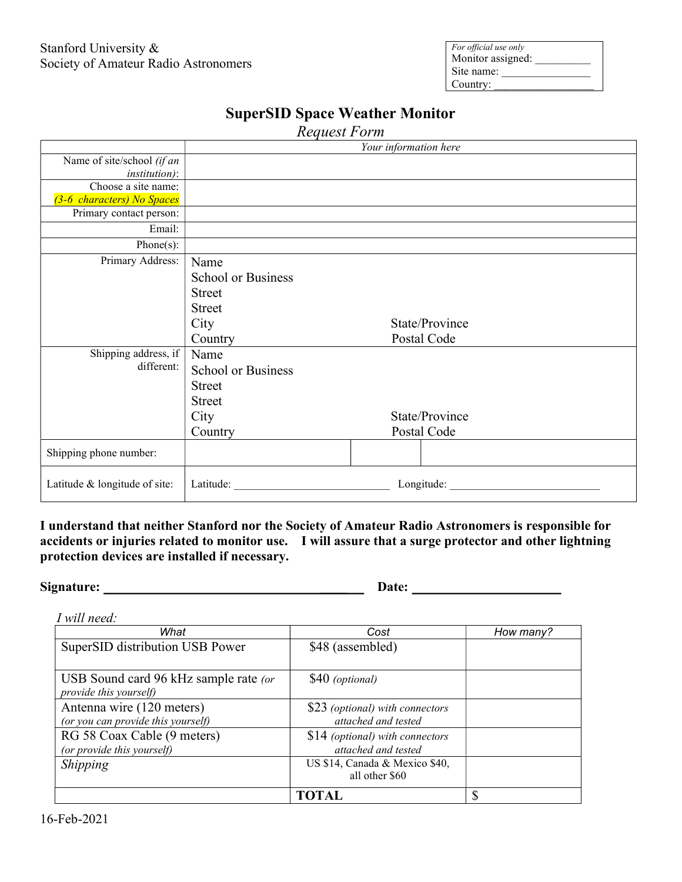| For official use only<br>Monitor assigned: |  |
|--------------------------------------------|--|
| Site name:                                 |  |
| Country:                                   |  |

|                               | Your information here     |             |                |  |
|-------------------------------|---------------------------|-------------|----------------|--|
| Name of site/school (if an    |                           |             |                |  |
| <i>institution</i> ):         |                           |             |                |  |
| Choose a site name:           |                           |             |                |  |
| (3-6 characters) No Spaces    |                           |             |                |  |
| Primary contact person:       |                           |             |                |  |
| Email:                        |                           |             |                |  |
| Phone $(s)$ :                 |                           |             |                |  |
| Primary Address:              | Name                      |             |                |  |
|                               | <b>School or Business</b> |             |                |  |
|                               | <b>Street</b>             |             |                |  |
|                               | <b>Street</b>             |             |                |  |
|                               | City                      |             | State/Province |  |
|                               | Country                   | Postal Code |                |  |
| Shipping address, if          | Name                      |             |                |  |
| different:                    | <b>School or Business</b> |             |                |  |
|                               | <b>Street</b>             |             |                |  |
|                               | <b>Street</b>             |             |                |  |
|                               | City                      |             | State/Province |  |
|                               | Country                   |             | Postal Code    |  |
| Shipping phone number:        |                           |             |                |  |
|                               |                           |             |                |  |
| Latitude & longitude of site: | Latitude:                 |             | Longitude:     |  |

## SuperSID Space Weather Monitor

Request Form

I understand that neither Stanford nor the Society of Amateur Radio Astronomers is responsible for accidents or injuries related to monitor use. I will assure that a surge protector and other lightning protection devices are installed if necessary.

Signature: \_\_\_\_ Date:

I will need:

| What                                                            | Cost                                                   | How many? |
|-----------------------------------------------------------------|--------------------------------------------------------|-----------|
| SuperSID distribution USB Power                                 | \$48 (assembled)                                       |           |
| USB Sound card 96 kHz sample rate (or<br>provide this yourself) | \$40 (optional)                                        |           |
| Antenna wire (120 meters)<br>(or you can provide this yourself) | \$23 (optional) with connectors<br>attached and tested |           |
| RG 58 Coax Cable (9 meters)<br>(or provide this yourself)       | \$14 (optional) with connectors<br>attached and tested |           |
| Shipping                                                        | US \$14, Canada & Mexico \$40,<br>all other \$60       |           |
|                                                                 | <b>TOTAL</b>                                           | €         |